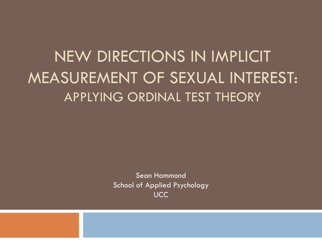### NEW DIRECTIONS IN IMPLICIT MEASUREMENT OF SEXUAL INTEREST: APPLYING ORDINAL TEST THEORY

Sean Hammond School of Applied Psychology UCC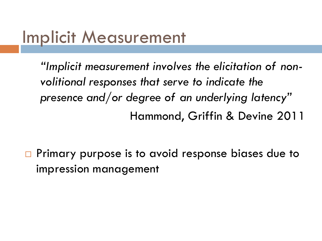#### Implicit Measurement

*"Implicit measurement involves the elicitation of nonvolitional responses that serve to indicate the presence and/or degree of an underlying latency"* Hammond, Griffin & Devine 2011

 $\Box$  Primary purpose is to avoid response biases due to impression management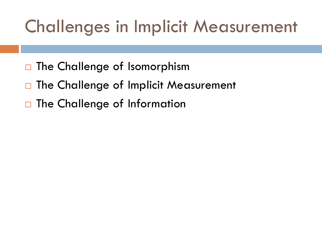# Challenges in Implicit Measurement

- $\Box$  The Challenge of Isomorphism
- □ The Challenge of Implicit Measurement
- □ The Challenge of Information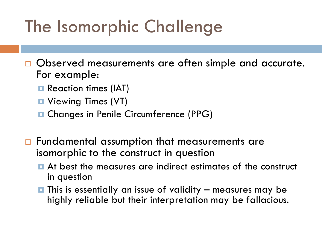# The Isomorphic Challenge

- □ Observed measurements are often simple and accurate. For example:
	- **□** Reaction times (IAT)
	- **□** Viewing Times (VT)
	- **□ Changes in Penile Circumference (PPG)**
- □ Fundamental assumption that measurements are isomorphic to the construct in question
	- At best the measures are indirect estimates of the construct in question
	- $\blacksquare$  This is essentially an issue of validity  $-$  measures may be highly reliable but their interpretation may be fallacious.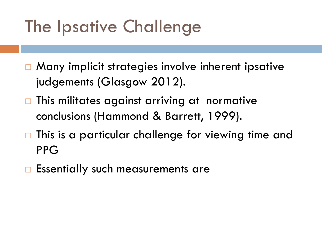# The Ipsative Challenge

- $\Box$  Many implicit strategies involve inherent ipsative judgements (Glasgow 2012).
- $\Box$  This militates against arriving at normative conclusions (Hammond & Barrett, 1999).
- □ This is a particular challenge for viewing time and PPG
- $\Box$  Essentially such measurements are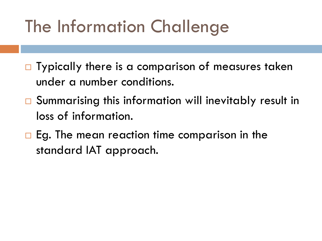# The Information Challenge

- $\Box$  Typically there is a comparison of measures taken under a number conditions.
- □ Summarising this information will inevitably result in loss of information.
- $\Box$  Eg. The mean reaction time comparison in the standard IAT approach.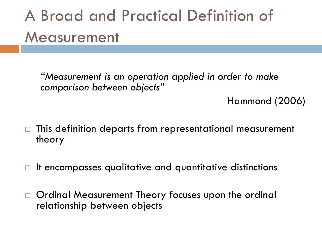## A Broad and Practical Definition of Measurement

*"Measurement is an operation applied in order to make comparison between objects"*

Hammond (2006)

- $\Box$  This definition departs from representational measurement theory
- $\Box$  It encompasses qualitative and quantitative distinctions
- □ Ordinal Measurement Theory focuses upon the ordinal relationship between objects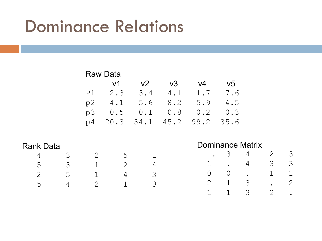## Dominance Relations

|                  |   | <b>Raw Data</b> |                |                |      |                         |                |   |   |   |
|------------------|---|-----------------|----------------|----------------|------|-------------------------|----------------|---|---|---|
|                  |   |                 | v1             | V <sub>2</sub> | v3   | V <sub>4</sub>          | V <sub>5</sub> |   |   |   |
|                  |   | P1              | 2.3            | 3.4            | 4.1  | 1.7                     | 7.6            |   |   |   |
|                  |   | p2              | 4.1            | 5.6            | 8.2  | 5.9                     | 4.5            |   |   |   |
|                  |   | p3              | 0.5            | 0.1            | 0.8  | 0.2                     | 0.3            |   |   |   |
|                  |   | p4              | 20.3           | 34.1           | 45.2 | 99.2                    | 35.6           |   |   |   |
|                  |   |                 |                |                |      |                         |                |   |   |   |
| <b>Rank Data</b> |   |                 |                |                |      | <b>Dominance Matrix</b> |                |   |   |   |
| 4                | 3 | 2               | 5              |                |      |                         | 3              | 4 | 2 | 3 |
| 5                | 3 | 1               | $\overline{2}$ | 4              |      |                         |                | 4 | 3 | 3 |
| 2                | 5 | 1               | 4              | 3              |      | 0                       | $\bigcirc$     |   |   |   |
| 5                | 4 | 2               | 1              | 3              |      | 2                       | 1              | 3 |   | 2 |
|                  |   |                 |                |                |      |                         |                | 3 | 2 | ٠ |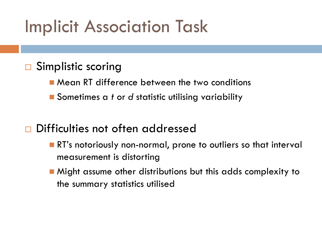## Implicit Association Task

#### **□** Simplistic scoring

- Mean RT difference between the two conditions
- Sometimes a *t* or *d* statistic utilising variability

#### Difficulties not often addressed

- **RT's notoriously non-normal, prone to outliers so that interval** measurement is distorting
- **Might assume other distributions but this adds complexity to** the summary statistics utilised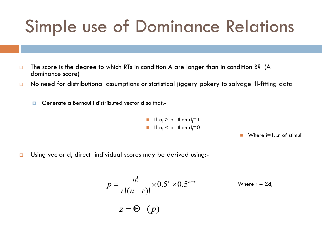## Simple use of Dominance Relations

- $\Box$  The score is the degree to which RTs in condition A are longer than in condition B? (A dominance score)
- □ No need for distributional assumptions or statistical jiggery pokery to salvage ill-fitting data
	- Generate a Bernoulli distributed vector d so that:-

\n- If 
$$
a_i > b_i
$$
 then  $d_i = 1$
\n- If  $a_i < b_i$  then  $d_i = 0$
\n

Where  $i=1...n$  of stimuli

 $\Box$  Using vector d, direct individual scores may be derived using:-

$$
p = \frac{n!}{r!(n-r)!} \times 0.5^{r} \times 0.5^{n-r}
$$
 Where  $r = \Sigma d_i$   

$$
z = \Theta^{-1}(p)
$$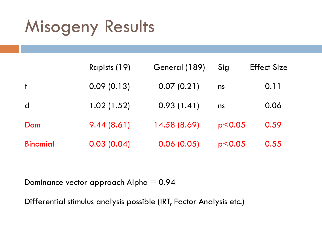## Misogeny Results

|                 | Rapists (19) | General (189) | Sig      | <b>Effect Size</b> |
|-----------------|--------------|---------------|----------|--------------------|
| $\ddagger$      | 0.09(0.13)   | 0.07(0.21)    | ns       | 0.11               |
| $\mathsf{d}$    | 1.02(1.52)   | 0.93(1.41)    | ns       | 0.06               |
| Dom             | 9.44(8.61)   | 14.58 (8.69)  | p < 0.05 | 0.59               |
| <b>Binomial</b> | 0.03(0.04)   | 0.06(0.05)    | p < 0.05 | 0.55               |

Dominance vector approach Alpha = 0.94

Differential stimulus analysis possible (IRT, Factor Analysis etc.)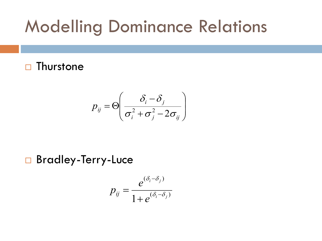## Modelling Dominance Relations

#### $\Box$  Thurstone

$$
p_{ij} = \Theta\left(\frac{\delta_i - \delta_j}{\sigma_i^2 + \sigma_j^2 - 2\sigma_{ij}}\right)
$$

□ Bradley-Terry-Luce

$$
p_{ij} = \frac{e^{(\delta_i - \delta_j)}}{1 + e^{(\delta_i - \delta_j)}}
$$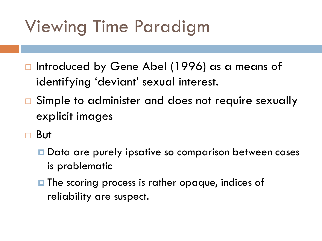# Viewing Time Paradigm

- $\Box$  Introduced by Gene Abel (1996) as a means of identifying 'deviant' sexual interest.
- □ Simple to administer and does not require sexually explicit images
- But
	- **□** Data are purely ipsative so comparison between cases is problematic
	- $\blacksquare$  The scoring process is rather opaque, indices of reliability are suspect.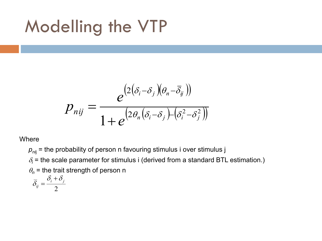## Modelling the VTP

$$
p_{nij} = \frac{e^{(2(\delta_i - \delta_j)(\theta_n - \overline{\delta}_j))}}{1 + e^{(2\theta_n(\delta_i - \delta_j) - (\delta_i^2 - \delta_j^2))}}
$$

**Where** 

 $p_{nij}$  = the probability of person n favouring stimulus i over stimulus j  $\delta_i$  = the scale parameter for stimulus i (derived from a standard BTL estimation.)  $\theta_n$  = the trait strength of person n  $\delta_{\cdot} + \delta$  $\ddot{}$ 

$$
\overline{\delta}_{ij} = \frac{\partial_i + \partial_j}{2}
$$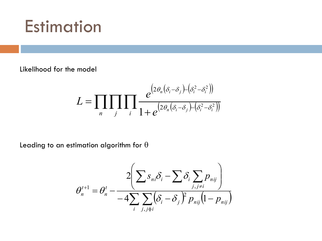#### **Estimation**

Likelihood for the model

$$
L = \prod_{n} \prod_{j} \prod_{i} \frac{e^{(2\theta_n(\delta_i - \delta_j) - (\delta_i^2 - \delta_i^2))}}{1 + e^{(2\theta_n(\delta_i - \delta_j) - (\delta_i^2 - \delta_i^2))}}
$$

Leading to an estimation algorithm for  $\theta$ 

$$
\theta_n^{t+1} = \theta_n^t - \frac{2\left(\sum s_{ni}\delta_i - \sum \delta_i \sum_{j,j\neq i} p_{nij}\right)}{-4\sum_i \sum_{j,j\neq i} (\delta_i - \delta_j)^2 p_{nij} (1 - p_{nij})}
$$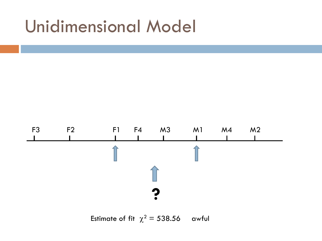#### Unidimensional Model



Estimate of fit  $\chi^2 = 538.56$  awful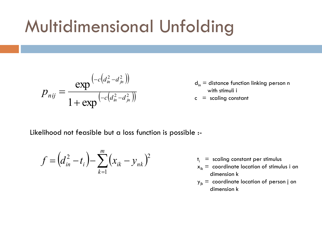## Multidimensional Unfolding

$$
p_{nij} = \frac{\exp^{(-c\left(d_m^2 - d_{jn}^2\right))}}{1 + \exp^{(-c\left(d_m^2 - d_{jn}^2\right))}}
$$

- $d_{in}$  = distance function linking person n with stimuli i
- $c = scaling constant$

Likelihood not feasible but a loss function is possible :-

$$
f = (d_{in}^{2} - t_{i}) - \sum_{k=1}^{m} (x_{ik} - y_{nk})^{2}
$$

- $t_i$  = scaling constant per stimulus
- $x_{ik}$  = coordinate location of stimulus i on dimension k
- $y_{ik}$  = coordinate location of person j on dimension k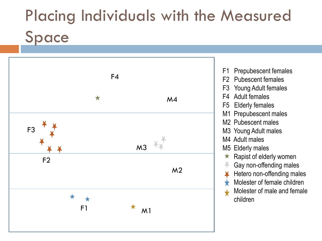# Placing Individuals with the Measured Space



F1 Prepubescent females F2 Pubescent females F3 Young Adult females F4 Adult females F5 Elderly females M1 Prepubescent males M2 Pubescent males M3 Young Adult males M4 Adult males M5 Elderly males  $\star$  Rapist of elderly women Gay non-offending males Hetero non-offending males Molester of female children Molester of male and female children